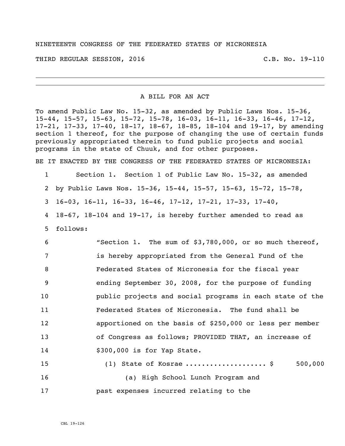THIRD REGULAR SESSION, 2016 C.B. No. 19-110

A BILL FOR AN ACT

To amend Public Law No. 15-32, as amended by Public Laws Nos. 15-36, 15-44, 15-57, 15-63, 15-72, 15-78, 16-03, 16-11, 16-33, 16-46, 17-12, 17-21, 17-33, 17-40, 18-17, 18-67, 18-85, 18-104 and 19-17, by amending section 1 thereof, for the purpose of changing the use of certain funds previously appropriated therein to fund public projects and social programs in the state of Chuuk, and for other purposes.

BE IT ENACTED BY THE CONGRESS OF THE FEDERATED STATES OF MICRONESIA:

1 Section 1. Section 1 of Public Law No. 15-32, as amended

2 by Public Laws Nos. 15-36, 15-44, 15-57, 15-63, 15-72, 15-78,

3 16-03, 16-11, 16-33, 16-46, 17-12, 17-21, 17-33, 17-40,

4 18-67, 18-104 and 19-17, is hereby further amended to read as 5 follows:

 "Section 1. The sum of \$3,780,000, or so much thereof, is hereby appropriated from the General Fund of the Federated States of Micronesia for the fiscal year ending September 30, 2008, for the purpose of funding public projects and social programs in each state of the Federated States of Micronesia. The fund shall be apportioned on the basis of \$250,000 or less per member of Congress as follows; PROVIDED THAT, an increase of \$300,000 is for Yap State.

15 (1) State of Kosrae ..........................\$ 500,000 16 (a) High School Lunch Program and 17 past expenses incurred relating to the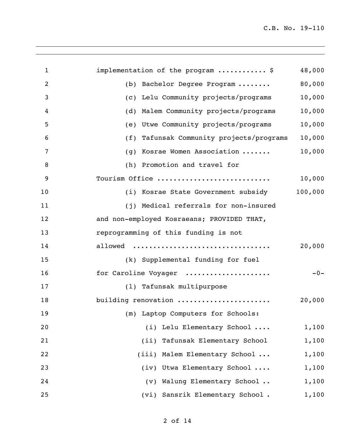| $\mathbf{1}$   | implementation of the program  \$          | 48,000  |
|----------------|--------------------------------------------|---------|
| $\overline{2}$ | (b) Bachelor Degree Program                | 80,000  |
| 3              | (c) Lelu Community projects/programs       | 10,000  |
| 4              | (d) Malem Community projects/programs      | 10,000  |
| 5              | (e) Utwe Community projects/programs       | 10,000  |
| 6              | (f) Tafunsak Community projects/programs   | 10,000  |
| $\overline{7}$ | (g) Kosrae Women Association               | 10,000  |
| 8              | (h) Promotion and travel for               |         |
| 9              | Tourism Office                             | 10,000  |
| 10             | (i) Kosrae State Government subsidy        | 100,000 |
| 11             | (j) Medical referrals for non-insured      |         |
| 12             | and non-employed Kosraeans; PROVIDED THAT, |         |
| 13             | reprogramming of this funding is not       |         |
| 14             | allowed                                    | 20,000  |
| 15             | (k) Supplemental funding for fuel          |         |
| 16             | for Caroline Voyager                       | $-0-$   |
| 17             | (1) Tafunsak multipurpose                  |         |
| 18             | building renovation                        | 20,000  |
| 19             | (m) Laptop Computers for Schools:          |         |
| 20             | (i) Lelu Elementary School                 | 1,100   |
| 21             | (ii) Tafunsak Elementary School            | 1,100   |
| 22             | (iii) Malem Elementary School              | 1,100   |
| 23             | (iv) Utwa Elementary School                | 1,100   |
| 24             | (v) Walung Elementary School               | 1,100   |
| 25             | (vi) Sansrik Elementary School.            | 1,100   |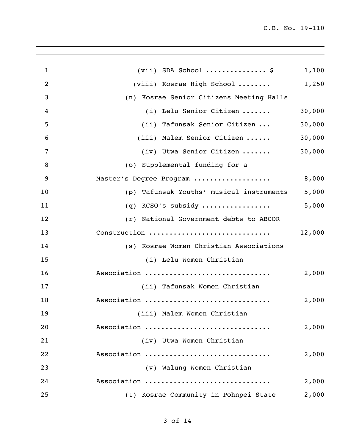| $\mathbf{1}$   | $(vii)$ SDA School  \$                      | 1,100  |
|----------------|---------------------------------------------|--------|
| $\overline{2}$ | $(viii)$ Kosrae High School                 | 1,250  |
| 3              | (n) Kosrae Senior Citizens Meeting Halls    |        |
| 4              | (i) Lelu Senior Citizen                     | 30,000 |
| 5              | (ii) Tafunsak Senior Citizen                | 30,000 |
| 6              | (iii) Malem Senior Citizen                  | 30,000 |
| 7              | (iv) Utwa Senior Citizen                    | 30,000 |
| 8              | (o) Supplemental funding for a              |        |
| 9              | Master's Degree Program                     | 8,000  |
| 10             | Tafunsak Youths' musical instruments<br>(p) | 5,000  |
| 11             | KCSO's subsidy<br>(q)                       | 5,000  |
| 12             | (r) National Government debts to ABCOR      |        |
| 13             | Construction                                | 12,000 |
| 14             | (s) Kosrae Women Christian Associations     |        |
| 15             | (i) Lelu Women Christian                    |        |
| 16             | Association                                 | 2,000  |
| 17             | (ii) Tafunsak Women Christian               |        |
| 18             | Association                                 | 2,000  |
| 19             | (iii) Malem Women Christian                 |        |
| 20             | Association                                 | 2,000  |
| 21             | (iv) Utwa Women Christian                   |        |
| 22             | Association                                 | 2,000  |
| 23             | (v) Walung Women Christian                  |        |
| 24             | Association                                 | 2,000  |
| 25             | (t) Kosrae Community in Pohnpei State       | 2,000  |
|                |                                             |        |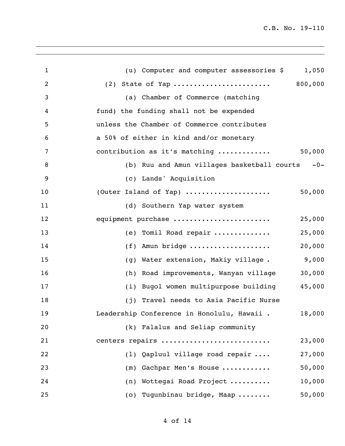| $\mathbf{1}$ | (u) Computer and computer assessories \$<br>1,050     |
|--------------|-------------------------------------------------------|
| 2            | (2) State of Yap  800,000                             |
| 3            | (a) Chamber of Commerce (matching                     |
| 4            | fund) the funding shall not be expended               |
| 5            | unless the Chamber of Commerce contributes            |
| 6            | a 50% of either in kind and/or monetary               |
| 7            | 50,000<br>contribution as it's matching               |
| 8            | (b) Ruu and Amun villages basketball courts -0-       |
| 9            | (c) Lands' Acquisition                                |
| 10           | (Outer Island of Yap)<br>50,000                       |
| 11           | (d) Southern Yap water system                         |
| 12           | equipment purchase<br>25,000                          |
| 13           | 25,000<br>(e) Tomil Road repair                       |
| 14           | Amun bridge<br>20,000<br>(f)                          |
| 15           | 9,000<br>(g) Water extension, Makiy village.          |
| 16           | 30,000<br>Road improvements, Wanyan village<br>(h)    |
| 17           | 45,000<br>(i) Bugol women multipurpose building       |
| 18           | (j) Travel needs to Asia Pacific Nurse                |
| 19           | Leadership Conference in Honolulu, Hawaii .<br>18,000 |
| 20           | (k) Falalus and Seliap community                      |
| 21           | centers repairs<br>23,000                             |
| 22           | (1) Qapluul village road repair<br>27,000             |
| 23           | 50,000<br>(m) Gachpar Men's House                     |
| 24           | (n) Wottegai Road Project<br>10,000                   |
| 25           | 50,000<br>(o) Tugunbinau bridge, Maap                 |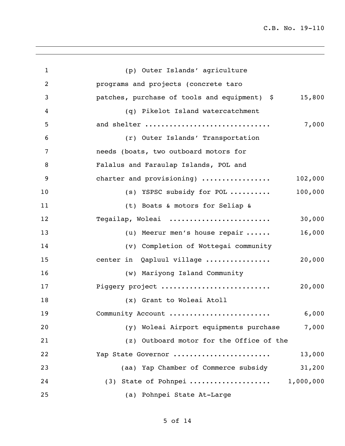| $\mathbf{1}$   | (p) Outer Islands' agriculture                         |
|----------------|--------------------------------------------------------|
| $\overline{2}$ | programs and projects (concrete taro                   |
| 3              | 15,800<br>patches, purchase of tools and equipment) \$ |
| 4              | (q) Pikelot Island watercatchment                      |
| 5              | 7,000<br>and shelter                                   |
| 6              | (r) Outer Islands' Transportation                      |
| $\overline{7}$ | needs (boats, two outboard motors for                  |
| 8              | Falalus and Faraulap Islands, POL and                  |
| 9              | 102,000<br>charter and provisioning)                   |
| 10             | 100,000<br>(s) YSPSC subsidy for POL                   |
| 11             | (t) Boats & motors for Seliap &                        |
| 12             | 30,000<br>Tegailap, Woleai                             |
| 13             | 16,000<br>(u) Meerur men's house repair                |
| 14             | (v) Completion of Wottegai community                   |
| 15             | 20,000<br>center in Qapluul village                    |
| 16             | (w) Mariyong Island Community                          |
| 17             | Piggery project<br>20,000                              |
| 18             | (x) Grant to Woleai Atoll                              |
| 19             | 6,000<br>Community Account                             |
| 20             | Woleai Airport equipments purchase<br>7,000<br>(y)     |
| 21             | (z) Outboard motor for the Office of the               |
| 22             | 13,000<br>Yap State Governor                           |
| 23             | 31,200<br>(aa) Yap Chamber of Commerce subsidy         |
| 24             | (3) State of Pohnpei  1,000,000                        |
| 25             | (a) Pohnpei State At-Large                             |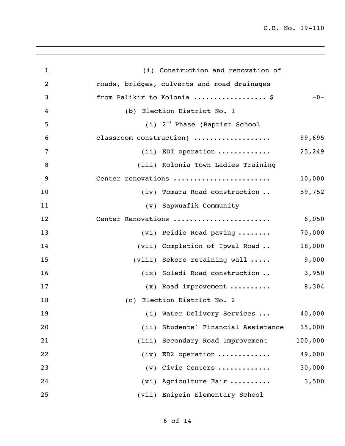| $\mathbf{1}$   | (i) Construction and renovation of          |         |
|----------------|---------------------------------------------|---------|
| 2              | roads, bridges, culverts and road drainages |         |
| 3              | from Palikir to Kolonia  \$                 | $-0-$   |
| 4              | (b) Election District No. 1                 |         |
| 5              | $(i)$ 2 <sup>nd</sup> Phase (Baptist School |         |
| 6              | classroom construction)                     | 99,695  |
| $\overline{7}$ | $(i)$ EDI operation                         | 25,249  |
| 8              | (iii) Kolonia Town Ladies Training          |         |
| 9              | Center renovations                          | 10,000  |
| 10             | (iv) Tomara Road construction               | 59,752  |
| 11             | (v) Sapwuafik Community                     |         |
| 12             | Center Renovations                          | 6,050   |
| 13             | (vi) Peidie Road paving                     | 70,000  |
| 14             | (vii) Completion of Ipwal Road              | 18,000  |
| 15             | (viii) Sekere retaining wall                | 9,000   |
| 16             | (ix) Soledi Road construction               | 3,950   |
| 17             | $(x)$ Road improvement                      | 8,304   |
| 18             | (c) Election District No. 2                 |         |
| 19             | (i) Water Delivery Services                 | 40,000  |
| 20             | (ii) Students' Financial Assistance         | 15,000  |
| 21             | (iii) Secondary Road Improvement            | 100,000 |
| 22             | $(iv)$ ED2 operation                        | 49,000  |
| 23             | (v) Civic Centers                           | 30,000  |
| 24             | (vi) Agriculture Fair                       | 3,500   |
| 25             | (vii) Enipein Elementary School             |         |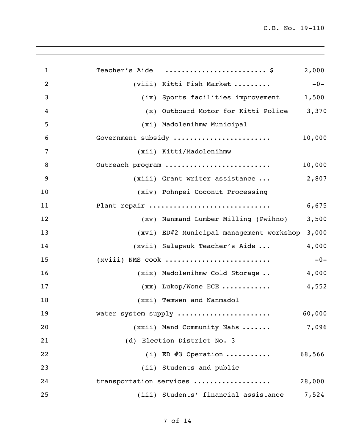| $\mathbf{1}$   | Teacher's Aide  \$<br>2,000                 |        |
|----------------|---------------------------------------------|--------|
| $\overline{c}$ | (viii) Kitti Fish Market                    | $-0-$  |
| 3              | (ix) Sports facilities improvement<br>1,500 |        |
| 4              | (x) Outboard Motor for Kitti Police         | 3,370  |
| 5              | (xi) Madolenihmw Municipal                  |        |
| 6              | Government subsidy                          | 10,000 |
| 7              | (xii) Kitti/Madolenihmw                     |        |
| 8              | Outreach program                            | 10,000 |
| 9              | (xiii) Grant writer assistance              | 2,807  |
| 10             | (xiv) Pohnpei Coconut Processing            |        |
| 11             | Plant repair                                | 6,675  |
| 12             | (xv) Nanmand Lumber Milling (Pwihno)        | 3,500  |
| 13             | (xvi) ED#2 Municipal management workshop    | 3,000  |
| 14             | (xvii) Salapwuk Teacher's Aide              | 4,000  |
| 15             | $(xviii)$ NMS cook                          | $-0-$  |
| 16             | (xix) Madolenihmw Cold Storage              | 4,000  |
| 17             | $(xx)$ Lukop/Wone ECE                       | 4,552  |
| 18             | (xxi) Temwen and Nanmadol                   |        |
| 19             | water system supply                         | 60,000 |
| 20             | (xxii) Mand Community Nahs                  | 7,096  |
| 21             | (d) Election District No. 3                 |        |
| 22             | (i) ED $#3$ Operation<br>68,566             |        |
| 23             | (ii) Students and public                    |        |
| 24             | transportation services<br>28,000           |        |
| 25             | (iii) Students' financial assistance        | 7,524  |
|                |                                             |        |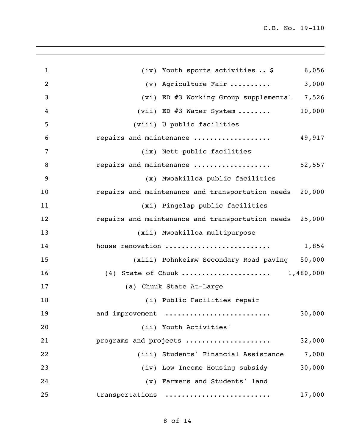| $\mathbf{1}$   | (iv) Youth sports activities  \$<br>6,056               |
|----------------|---------------------------------------------------------|
| 2              | 3,000<br>(v) Agriculture Fair                           |
| 3              | (vi) ED #3 Working Group supplemental 7,526             |
| 4              | 10,000<br>(vii) ED #3 Water System                      |
| 5              | (viii) U public facilities                              |
| 6              | repairs and maintenance<br>49,917                       |
| $\overline{7}$ | (ix) Nett public facilities                             |
| 8              | repairs and maintenance<br>52,557                       |
| 9              | (x) Mwoakilloa public facilities                        |
| 10             | repairs and maintenance and transportation needs 20,000 |
| 11             | (xi) Pingelap public facilities                         |
| 12             | repairs and maintenance and transportation needs 25,000 |
| 13             | (xii) Mwoakilloa multipurpose                           |
| 14             | house renovation<br>1,854                               |
| 15             | (xiii) Pohnkeimw Secondary Road paving 50,000           |
| 16             | (4) State of Chuuk  1,480,000                           |
| 17             | (a) Chuuk State At-Large                                |
| 18             | (i) Public Facilities repair                            |
| 19             | 30,000<br>and improvement                               |
| 20             | (ii) Youth Activities'                                  |
| 21             | 32,000<br>programs and projects                         |
| 22             | (iii) Students' Financial Assistance<br>7,000           |
| 23             | 30,000<br>(iv) Low Income Housing subsidy               |
| 24             | (v) Farmers and Students' land                          |
| 25             | transportations<br>17,000                               |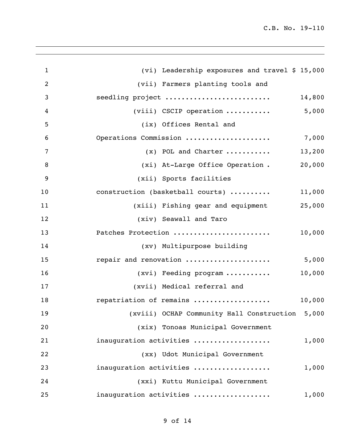| (vi) Leadership exposures and travel \$ 15,000  |
|-------------------------------------------------|
| (vii) Farmers planting tools and                |
| seedling project<br>14,800                      |
| (viii) CSCIP operation $5,000$                  |
| (ix) Offices Rental and                         |
| Operations Commission<br>7,000                  |
| 13,200<br>$(x)$ POL and Charter                 |
| 20,000<br>(xi) At-Large Office Operation.       |
| (xii) Sports facilities                         |
| construction (basketball courts)<br>11,000      |
| 25,000<br>(xiii) Fishing gear and equipment     |
| (xiv) Seawall and Taro                          |
| Patches Protection<br>10,000                    |
| (xv) Multipurpose building                      |
| repair and renovation<br>5,000                  |
| 10,000<br>(xvi) Feeding program                 |
| (xvii) Medical referral and                     |
| repatriation of remains<br>10,000               |
| (xviii) OCHAP Community Hall Construction 5,000 |
| (xix) Tonoas Municipal Government               |
| 1,000<br>inauguration activities                |
| (xx) Udot Municipal Government                  |
| 1,000<br>inauguration activities                |
| (xxi) Kuttu Municipal Government                |
| inauguration activities<br>1,000                |
|                                                 |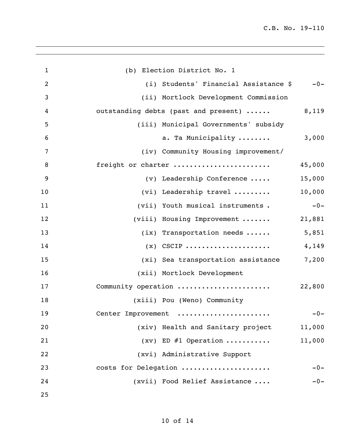| $\mathbf{1}$   | (b) Election District No. 1                    |
|----------------|------------------------------------------------|
| $\overline{2}$ | (i) Students' Financial Assistance \$<br>$-0-$ |
| 3              | (ii) Mortlock Development Commission           |
| 4              | 8,119<br>outstanding debts (past and present)  |
| 5              | (iii) Municipal Governments' subsidy           |
| 6              | 3,000<br>a. Ta Municipality                    |
| $\overline{7}$ | (iv) Community Housing improvement/            |
| 8              | 45,000<br>freight or charter                   |
| 9              | 15,000<br>(v) Leadership Conference            |
| 10             | 10,000<br>(vi) Leadership travel               |
| 11             | $-0-$<br>(vii) Youth musical instruments.      |
| 12             | (viii) Housing Improvement<br>21,881           |
| 13             | 5,851<br>$(ix)$ Transportation needs           |
| 14             | 4,149<br>$(x)$ CSCIP                           |
| 15             | 7,200<br>(xi) Sea transportation assistance    |
| 16             | (xii) Mortlock Development                     |
| 17             | Community operation<br>22,800                  |
| 18             | (xiii) Pou (Weno) Community                    |
| 19             | Center Improvement<br>$-0-$                    |
| 20             | (xiv) Health and Sanitary project<br>11,000    |
| 21             | $(xv)$ ED #1 Operation<br>11,000               |
| 22             | (xvi) Administrative Support                   |
| 23             | costs for Delegation<br>$-0-$                  |
| 24             | (xvii) Food Relief Assistance<br>$-0-$         |
| 25             |                                                |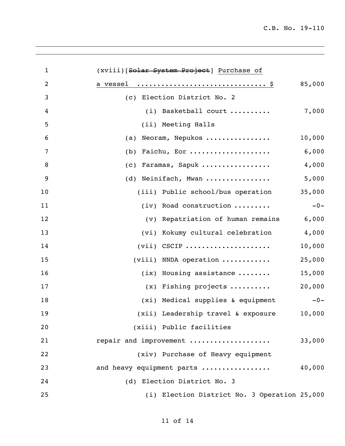| $\mathbf{1}$   | (xviii) [Solar System Project] Purchase of   |        |
|----------------|----------------------------------------------|--------|
| $\overline{2}$ |                                              | 85,000 |
| 3              | (c) Election District No. 2                  |        |
| 4              | $(i)$ Basketball court                       | 7,000  |
| 5              | (ii) Meeting Halls                           |        |
| 6              | Neoram, Nepukos<br>(a)                       | 10,000 |
| $\overline{7}$ | Faichu, Eor<br>(b)                           | 6,000  |
| 8              | Faramas, Sapuk<br>(C)                        | 4,000  |
| 9              | (d) Neinifach, Mwan                          | 5,000  |
| 10             | (iii) Public school/bus operation            | 35,000 |
| 11             | (iv) Road construction                       | $-0-$  |
| 12             | (v) Repatriation of human remains            | 6,000  |
| 13             | (vi) Kokumy cultural celebration             | 4,000  |
| 14             | $(vii)$ CSCIP                                | 10,000 |
| 15             | $(viii)$ NNDA operation                      | 25,000 |
| 16             | $(ix)$ Housing assistance                    | 15,000 |
| 17             | (x) Fishing projects                         | 20,000 |
| 18             | (xi) Medical supplies & equipment            | $-0-$  |
| 19             | (xii) Leadership travel & exposure           | 10,000 |
| 20             | (xiii) Public facilities                     |        |
| 21             | repair and improvement                       | 33,000 |
| 22             | (xiv) Purchase of Heavy equipment            |        |
| 23             | and heavy equipment parts                    | 40,000 |
| 24             | (d) Election District No. 3                  |        |
| 25             | (i) Election District No. 3 Operation 25,000 |        |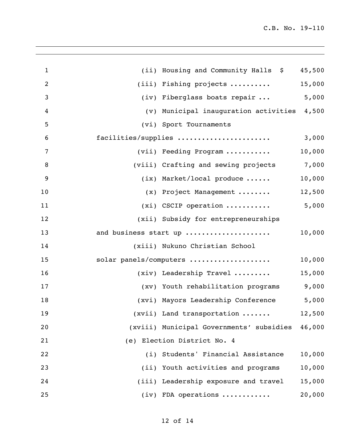| $\mathbf{1}$    | (ii) Housing and Community Halls \$             | 45,500 |
|-----------------|-------------------------------------------------|--------|
| $\overline{2}$  | (iii) Fishing projects                          | 15,000 |
| $\mathfrak{Z}$  | (iv) Fiberglass boats repair  5,000             |        |
| 4               | (v) Municipal inauguration activities 4,500     |        |
| 5               | (vi) Sport Tournaments                          |        |
| $6\phantom{1}6$ | facilities/supplies                             | 3,000  |
| 7               | (vii) Feeding Program                           | 10,000 |
| $\,8\,$         | (viii) Crafting and sewing projects 7,000       |        |
| 9               | $(ix)$ Market/local produce                     | 10,000 |
| 10              | (x) Project Management                          | 12,500 |
| 11              | $(xi)$ CSCIP operation                          | 5,000  |
| 12              | (xii) Subsidy for entrepreneurships             |        |
| 13              | and business start up                           | 10,000 |
| 14              | (xiii) Nukuno Christian School                  |        |
| 15              | solar panels/computers                          | 10,000 |
| 16              | $(xiv)$ Leadership Travel                       | 15,000 |
| 17              | (xv) Youth rehabilitation programs              | 9,000  |
| 18              | (xvi) Mayors Leadership Conference              | 5,000  |
| 19              | (xvii) Land transportation                      | 12,500 |
| 20              | (xviii) Municipal Governments' subsidies 46,000 |        |
| 21              | (e) Election District No. 4                     |        |
| 22              | (i) Students' Financial Assistance              | 10,000 |
| 23              | (ii) Youth activities and programs              | 10,000 |
| 24              | (iii) Leadership exposure and travel            | 15,000 |
| 25              | $(iv)$ FDA operations                           | 20,000 |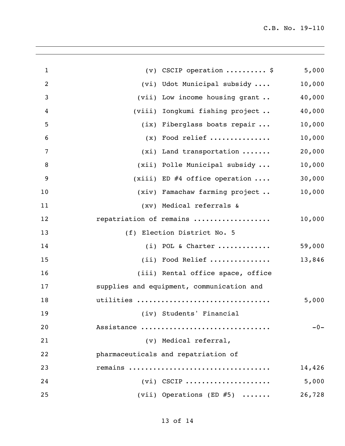| $\mathbf{1}$    | $(v)$ CSCIP operation  \$                 | 5,000  |
|-----------------|-------------------------------------------|--------|
| $\overline{2}$  | (vi) Udot Municipal subsidy               | 10,000 |
| 3               | (vii) Low income housing grant            | 40,000 |
| 4               | (viii) Iongkumi fishing project           | 40,000 |
| 5               | (ix) Fiberglass boats repair              | 10,000 |
| $6\phantom{1}6$ | $(x)$ Food relief                         | 10,000 |
| 7               | $(xi)$ Land transportation                | 20,000 |
| 8               | (xii) Polle Municipal subsidy             | 10,000 |
| 9               | $(xiii)$ ED #4 office operation           | 30,000 |
| 10              | (xiv) Famachaw farming project            | 10,000 |
| 11              | (xv) Medical referrals &                  |        |
| 12              | repatriation of remains                   | 10,000 |
| 13              | (f) Election District No. 5               |        |
| 14              | $(i)$ POL & Charter                       | 59,000 |
| 15              | (ii) Food Relief                          | 13,846 |
| 16              | (iii) Rental office space, office         |        |
| 17              | supplies and equipment, communication and |        |
| 18              | utilities                                 | 5,000  |
| 19              | (iv) Students' Financial                  |        |
| 20              | Assistance                                | $-0-$  |
| 21              | (v) Medical referral,                     |        |
| 22              | pharmaceuticals and repatriation of       |        |
| 23              | remains                                   | 14,426 |
| 24              | $(vi)$ CSCIP                              | 5,000  |
| 25              | (vii) Operations (ED $#5$ )               | 26,728 |